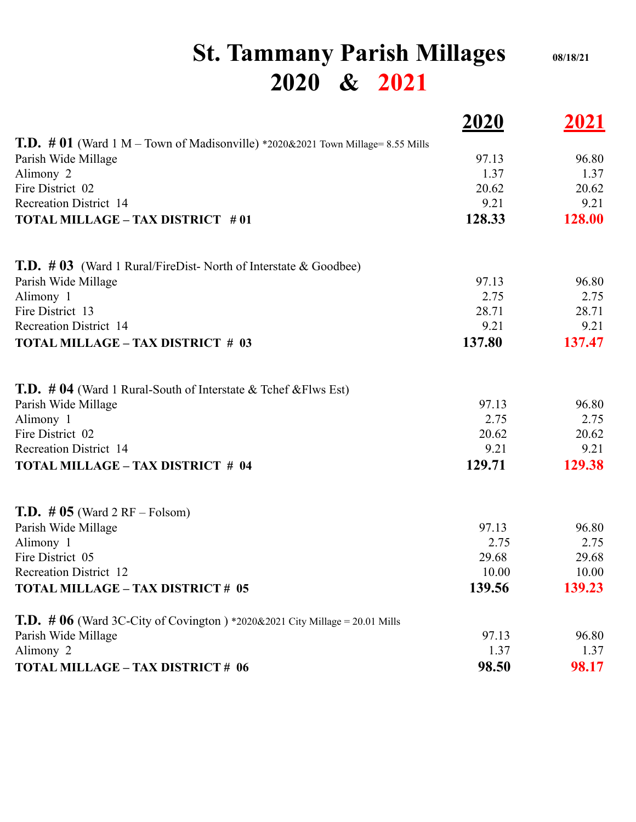## **St. Tammany Parish Millages 08/18/21 2020 & 2021**

|                                                                                        | <u>2020</u> | 2021   |
|----------------------------------------------------------------------------------------|-------------|--------|
| <b>T.D.</b> # 01 (Ward 1 M – Town of Madisonville) *2020&2021 Town Millage= 8.55 Mills |             |        |
| Parish Wide Millage                                                                    | 97.13       | 96.80  |
| Alimony 2                                                                              | 1.37        | 1.37   |
| Fire District 02                                                                       | 20.62       | 20.62  |
| <b>Recreation District 14</b>                                                          | 9.21        | 9.21   |
| <b>TOTAL MILLAGE - TAX DISTRICT #01</b>                                                | 128.33      | 128.00 |
| <b>T.D.</b> $\#$ 03 (Ward 1 Rural/FireDist- North of Interstate & Goodbee)             |             |        |
| Parish Wide Millage                                                                    | 97.13       | 96.80  |
| Alimony 1                                                                              | 2.75        | 2.75   |
| Fire District 13                                                                       | 28.71       | 28.71  |
| <b>Recreation District 14</b>                                                          | 9.21        | 9.21   |
| <b>TOTAL MILLAGE - TAX DISTRICT # 03</b>                                               | 137.80      | 137.47 |
| <b>T.D.</b> # 04 (Ward 1 Rural-South of Interstate $\&$ Tchef $\&$ Flws Est)           |             |        |
| Parish Wide Millage                                                                    | 97.13       | 96.80  |
| Alimony 1                                                                              | 2.75        | 2.75   |
| Fire District 02                                                                       | 20.62       | 20.62  |
| <b>Recreation District 14</b>                                                          | 9.21        | 9.21   |
| <b>TOTAL MILLAGE - TAX DISTRICT # 04</b>                                               | 129.71      | 129.38 |
| <b>T.D.</b> # $05$ (Ward 2 RF – Folsom)                                                |             |        |
| Parish Wide Millage                                                                    | 97.13       | 96.80  |
| Alimony 1                                                                              | 2.75        | 2.75   |
| Fire District 05                                                                       | 29.68       | 29.68  |
| <b>Recreation District 12</b>                                                          | 10.00       | 10.00  |
| <b>TOTAL MILLAGE - TAX DISTRICT # 05</b>                                               | 139.56      | 139.23 |
| <b>T.D.</b> # $06$ (Ward 3C-City of Covington ) *2020&2021 City Millage = 20.01 Mills  |             |        |
| Parish Wide Millage                                                                    | 97.13       | 96.80  |
| Alimony 2                                                                              | 1.37        | 1.37   |
| TOTAL MILLAGE - TAX DISTRICT # 06                                                      | 98.50       | 98.17  |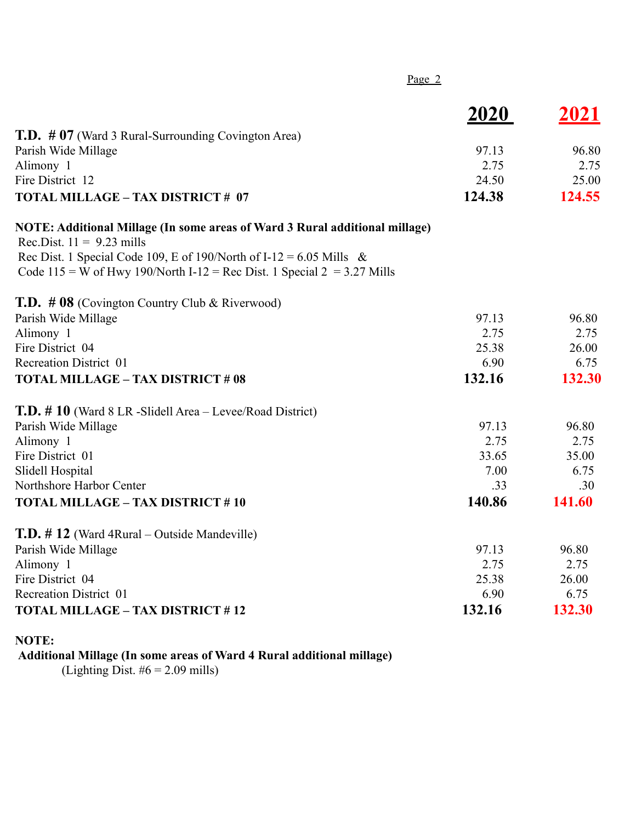| Page $2$                                                                                                                                         |             |        |
|--------------------------------------------------------------------------------------------------------------------------------------------------|-------------|--------|
|                                                                                                                                                  | <u>2020</u> | 2021   |
| <b>T.D.</b> # 07 (Ward 3 Rural-Surrounding Covington Area)                                                                                       |             |        |
| Parish Wide Millage                                                                                                                              | 97.13       | 96.80  |
| Alimony 1                                                                                                                                        | 2.75        | 2.75   |
| Fire District 12                                                                                                                                 | 24.50       | 25.00  |
| <b>TOTAL MILLAGE - TAX DISTRICT # 07</b>                                                                                                         | 124.38      | 124.55 |
| NOTE: Additional Millage (In some areas of Ward 3 Rural additional millage)                                                                      |             |        |
| Rec.Dist. $11 = 9.23$ mills                                                                                                                      |             |        |
| Rec Dist. 1 Special Code 109, E of 190/North of I-12 = 6.05 Mills &<br>Code 115 = W of Hwy 190/North I-12 = Rec Dist. 1 Special $2 = 3.27$ Mills |             |        |
| <b>T.D.</b> $\#$ 08 (Covington Country Club & Riverwood)                                                                                         |             |        |
| Parish Wide Millage                                                                                                                              | 97.13       | 96.80  |
| Alimony 1                                                                                                                                        | 2.75        | 2.75   |
| Fire District 04                                                                                                                                 | 25.38       | 26.00  |
| <b>Recreation District 01</b>                                                                                                                    | 6.90        | 6.75   |
| <b>TOTAL MILLAGE - TAX DISTRICT # 08</b>                                                                                                         | 132.16      | 132.30 |
| T.D. #10 (Ward 8 LR -Slidell Area – Levee/Road District)                                                                                         |             |        |
| Parish Wide Millage                                                                                                                              | 97.13       | 96.80  |
| Alimony 1                                                                                                                                        | 2.75        | 2.75   |
| Fire District 01                                                                                                                                 | 33.65       | 35.00  |
| Slidell Hospital                                                                                                                                 | 7.00        | 6.75   |
| Northshore Harbor Center                                                                                                                         | .33         | .30    |
| <b>TOTAL MILLAGE - TAX DISTRICT #10</b>                                                                                                          | 140.86      | 141.60 |
| T.D. #12 (Ward 4Rural – Outside Mandeville)                                                                                                      |             |        |
| Parish Wide Millage                                                                                                                              | 97.13       | 96.80  |
| Alimony 1                                                                                                                                        | 2.75        | 2.75   |
| Fire District 04                                                                                                                                 | 25.38       | 26.00  |
| <b>Recreation District 01</b>                                                                                                                    | 6.90        | 6.75   |
| <b>TOTAL MILLAGE - TAX DISTRICT #12</b>                                                                                                          | 132.16      | 132.30 |
|                                                                                                                                                  |             |        |

## **NOTE:**

**Additional Millage (In some areas of Ward 4 Rural additional millage)**

(Lighting Dist.  $#6 = 2.09$  mills)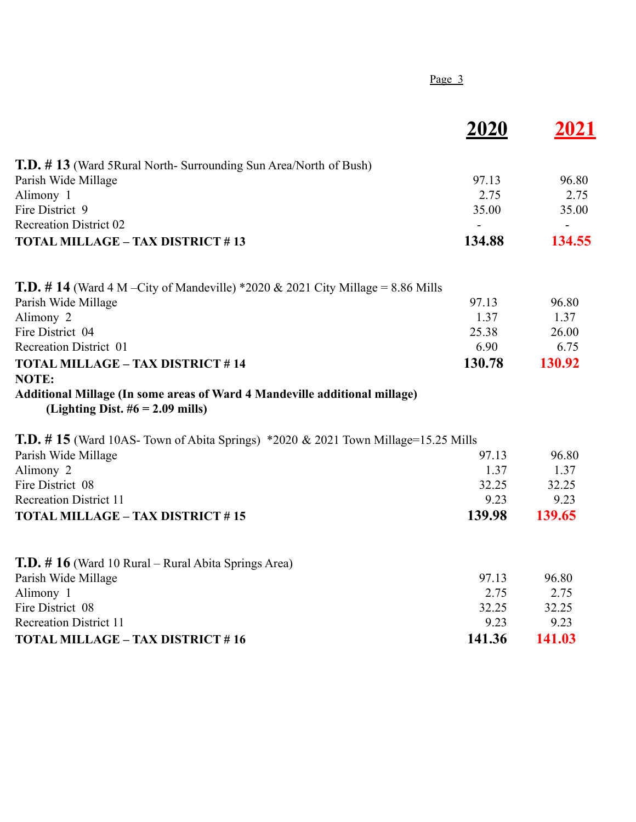|                                                                                                                  | Page 3      |        |
|------------------------------------------------------------------------------------------------------------------|-------------|--------|
|                                                                                                                  | <u>2020</u> | 2021   |
| <b>T.D.</b> #13 (Ward 5Rural North-Surrounding Sun Area/North of Bush)                                           |             |        |
| Parish Wide Millage                                                                                              | 97.13       | 96.80  |
| Alimony 1                                                                                                        | 2.75        | 2.75   |
| Fire District 9                                                                                                  | 35.00       | 35.00  |
| <b>Recreation District 02</b>                                                                                    |             |        |
| <b>TOTAL MILLAGE - TAX DISTRICT #13</b>                                                                          | 134.88      | 134.55 |
| <b>T.D.</b> # 14 (Ward 4 M – City of Mandeville) *2020 & 2021 City Millage = 8.86 Mills                          |             |        |
| Parish Wide Millage                                                                                              | 97.13       | 96.80  |
| Alimony 2                                                                                                        | 1.37        | 1.37   |
| Fire District 04                                                                                                 | 25.38       | 26.00  |
| <b>Recreation District 01</b>                                                                                    | 6.90        | 6.75   |
| <b>TOTAL MILLAGE - TAX DISTRICT #14</b>                                                                          | 130.78      | 130.92 |
| <b>NOTE:</b>                                                                                                     |             |        |
| Additional Millage (In some areas of Ward 4 Mandeville additional millage)<br>(Lighting Dist. $#6 = 2.09$ mills) |             |        |
| <b>T.D.</b> # 15 (Ward 10AS- Town of Abita Springs) $*2020 \& 2021$ Town Millage=15.25 Mills                     |             |        |
| Parish Wide Millage                                                                                              | 97.13       | 96.80  |
| Alimony 2                                                                                                        | 1.37        | 1.37   |
| Fire District 08                                                                                                 | 32.25       | 32.25  |
| <b>Recreation District 11</b>                                                                                    | 9.23        | 9.23   |
| <b>TOTAL MILLAGE - TAX DISTRICT #15</b>                                                                          | 139.98      | 139.65 |
| <b>T.D.</b> # 16 (Ward 10 Rural – Rural Abita Springs Area)                                                      |             |        |
| Parish Wide Millage                                                                                              | 97.13       | 96.80  |
| Alimony 1                                                                                                        | 2.75        | 2.75   |
| Fire District 08                                                                                                 | 32.25       | 32.25  |
| <b>Recreation District 11</b>                                                                                    | 9.23        | 9.23   |
| <b>TOTAL MILLAGE - TAX DISTRICT #16</b>                                                                          | 141.36      | 141.03 |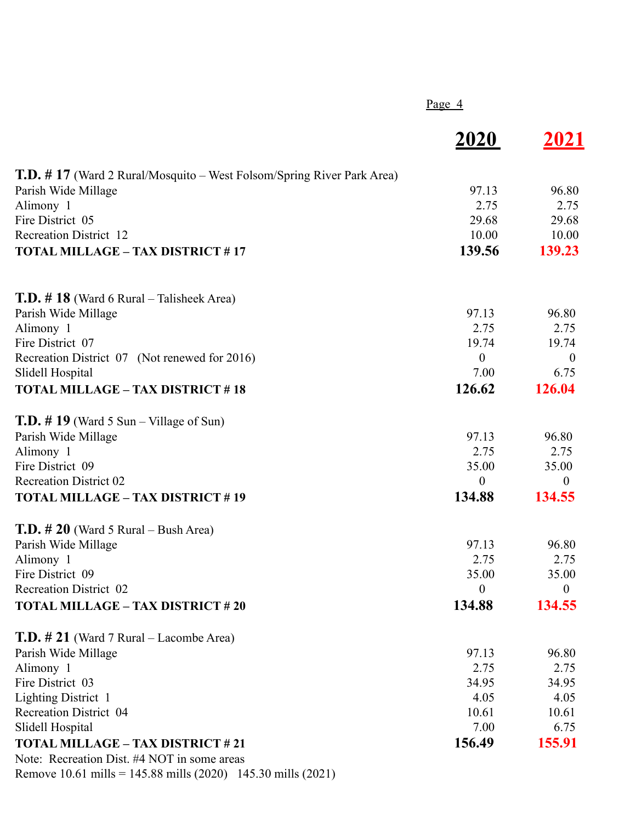|                                                                              | Page $4$         |              |
|------------------------------------------------------------------------------|------------------|--------------|
|                                                                              | <u>2020</u>      | 2021         |
| <b>T.D.</b> #17 (Ward 2 Rural/Mosquito – West Folsom/Spring River Park Area) |                  |              |
| Parish Wide Millage                                                          | 97.13            | 96.80        |
| Alimony 1                                                                    | 2.75             | 2.75         |
| Fire District 05                                                             | 29.68            | 29.68        |
| <b>Recreation District 12</b>                                                | 10.00            | 10.00        |
| <b>TOTAL MILLAGE - TAX DISTRICT #17</b>                                      | 139.56           | 139.23       |
| <b>T.D.</b> # 18 (Ward 6 Rural – Talisheek Area)                             |                  |              |
| Parish Wide Millage                                                          | 97.13            | 96.80        |
| Alimony 1                                                                    | 2.75             | 2.75         |
| Fire District 07                                                             | 19.74            | 19.74        |
| Recreation District 07 (Not renewed for 2016)                                | $\boldsymbol{0}$ | $\theta$     |
| Slidell Hospital                                                             | 7.00             | 6.75         |
| <b>TOTAL MILLAGE - TAX DISTRICT #18</b>                                      | 126.62           | 126.04       |
| <b>T.D.</b> # 19 (Ward 5 Sun – Village of Sun)                               |                  |              |
| Parish Wide Millage                                                          | 97.13            | 96.80        |
| Alimony 1                                                                    | 2.75             | 2.75         |
| Fire District 09                                                             | 35.00            | 35.00        |
| <b>Recreation District 02</b>                                                | $\boldsymbol{0}$ | $\theta$     |
| <b>TOTAL MILLAGE - TAX DISTRICT #19</b>                                      | 134.88           | 134.55       |
| <b>T.D.</b> $\#$ 20 (Ward 5 Rural – Bush Area)                               |                  |              |
| Parish Wide Millage                                                          | 97.13            | 96.80        |
| Alimony 1                                                                    | 2.75             | 2.75         |
| Fire District 09                                                             | 35.00            | 35.00        |
| Recreation District 02                                                       | $\boldsymbol{0}$ | $\mathbf{0}$ |
| <b>TOTAL MILLAGE - TAX DISTRICT #20</b>                                      | 134.88           | 134.55       |
| <b>T.D.</b> # 21 (Ward 7 Rural – Lacombe Area)                               |                  |              |
| Parish Wide Millage                                                          | 97.13            | 96.80        |
| Alimony 1                                                                    | 2.75             | 2.75         |
| Fire District 03                                                             | 34.95            | 34.95        |
| Lighting District 1                                                          | 4.05             | 4.05         |
| <b>Recreation District 04</b>                                                | 10.61            | 10.61        |
| Slidell Hospital                                                             | 7.00             | 6.75         |
| <b>TOTAL MILLAGE - TAX DISTRICT #21</b>                                      | 156.49           | 155.91       |
| Note: Recreation Dist. #4 NOT in some areas                                  |                  |              |
| Remove 10.61 mills = 145.88 mills (2020) 145.30 mills (2021)                 |                  |              |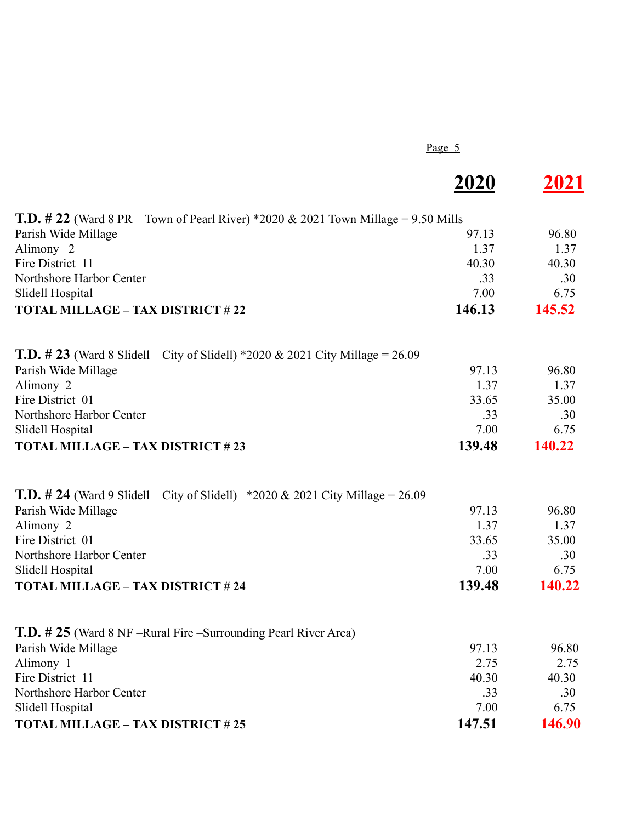Page 5

|                                                                                           | <b>2020</b> | 2021   |
|-------------------------------------------------------------------------------------------|-------------|--------|
| <b>T.D.</b> # 22 (Ward 8 PR – Town of Pearl River) *2020 & 2021 Town Millage = 9.50 Mills |             |        |
| Parish Wide Millage                                                                       | 97.13       | 96.80  |
| Alimony <sub>2</sub>                                                                      | 1.37        | 1.37   |
| Fire District 11                                                                          | 40.30       | 40.30  |
| Northshore Harbor Center                                                                  | .33         | .30    |
| Slidell Hospital                                                                          | 7.00        | 6.75   |
| <b>TOTAL MILLAGE - TAX DISTRICT #22</b>                                                   | 146.13      | 145.52 |
| <b>T.D.</b> # 23 (Ward 8 Slidell – City of Slidell) *2020 & 2021 City Millage = 26.09     |             |        |
| Parish Wide Millage                                                                       | 97.13       | 96.80  |
| Alimony 2                                                                                 | 1.37        | 1.37   |
| Fire District 01                                                                          | 33.65       | 35.00  |
| Northshore Harbor Center                                                                  | .33         | .30    |
| Slidell Hospital                                                                          | 7.00        | 6.75   |
| <b>TOTAL MILLAGE - TAX DISTRICT #23</b>                                                   | 139.48      | 140.22 |
| <b>T.D.</b> # 24 (Ward 9 Slidell – City of Slidell) *2020 & 2021 City Millage = 26.09     |             |        |
| Parish Wide Millage                                                                       | 97.13       | 96.80  |
| Alimony 2                                                                                 | 1.37        | 1.37   |
| Fire District 01                                                                          | 33.65       | 35.00  |
| Northshore Harbor Center                                                                  | .33         | .30    |
| Slidell Hospital                                                                          | 7.00        | 6.75   |
| <b>TOTAL MILLAGE - TAX DISTRICT #24</b>                                                   | 139.48      | 140.22 |
| <b>T.D.</b> # 25 (Ward 8 NF –Rural Fire –Surrounding Pearl River Area)                    |             |        |
| Parish Wide Millage                                                                       | 97.13       | 96.80  |
| Alimony 1                                                                                 | 2.75        | 2.75   |
| Fire District 11                                                                          | 40.30       | 40.30  |
| Northshore Harbor Center                                                                  | .33         | .30    |
| Slidell Hospital                                                                          | 7.00        | 6.75   |
| <b>TOTAL MILLAGE - TAX DISTRICT #25</b>                                                   | 147.51      | 146.90 |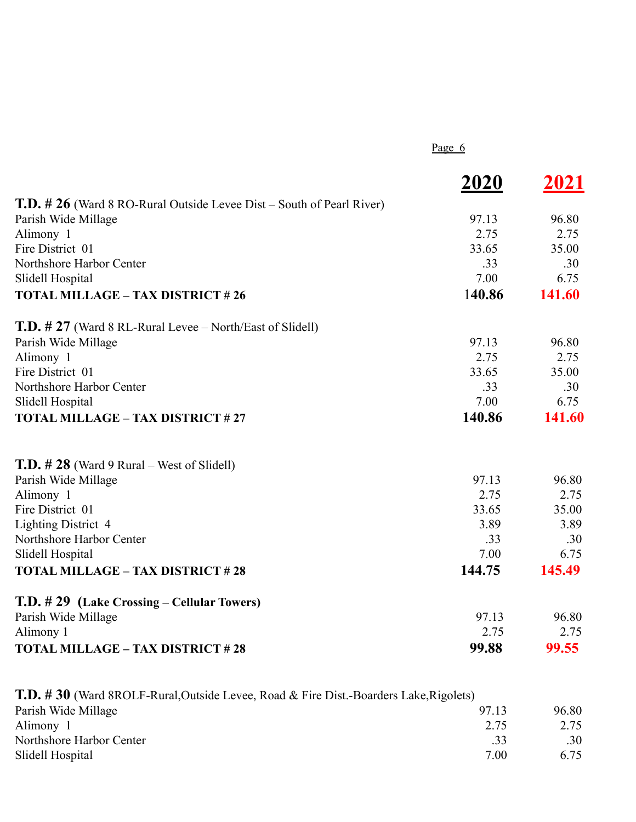Page 6

|                                                                              | <b>2020</b> | 2021   |
|------------------------------------------------------------------------------|-------------|--------|
| <b>T.D.</b> # 26 (Ward 8 RO-Rural Outside Levee Dist – South of Pearl River) |             |        |
| Parish Wide Millage                                                          | 97.13       | 96.80  |
| Alimony 1                                                                    | 2.75        | 2.75   |
| Fire District 01                                                             | 33.65       | 35.00  |
| Northshore Harbor Center                                                     | .33         | .30    |
| Slidell Hospital                                                             | 7.00        | 6.75   |
| <b>TOTAL MILLAGE - TAX DISTRICT #26</b>                                      | 140.86      | 141.60 |
| <b>T.D.</b> # 27 (Ward 8 RL-Rural Levee – North/East of Slidell)             |             |        |
| Parish Wide Millage                                                          | 97.13       | 96.80  |
| Alimony 1                                                                    | 2.75        | 2.75   |
| Fire District 01                                                             | 33.65       | 35.00  |
| Northshore Harbor Center                                                     | .33         | .30    |
| Slidell Hospital                                                             | 7.00        | 6.75   |
| <b>TOTAL MILLAGE - TAX DISTRICT #27</b>                                      | 140.86      | 141.60 |
| <b>T.D.</b> $\#$ 28 (Ward 9 Rural – West of Slidell)                         |             |        |
| Parish Wide Millage                                                          | 97.13       | 96.80  |
| Alimony 1                                                                    | 2.75        | 2.75   |
| Fire District 01                                                             | 33.65       | 35.00  |
| <b>Lighting District 4</b>                                                   | 3.89        | 3.89   |
| Northshore Harbor Center                                                     | .33         | .30    |
| Slidell Hospital                                                             | 7.00        | 6.75   |
| <b>TOTAL MILLAGE - TAX DISTRICT #28</b>                                      | 144.75      | 145.49 |
| T.D. #29 (Lake Crossing – Cellular Towers)                                   |             |        |
| Parish Wide Millage                                                          | 97.13       | 96.80  |
| Alimony 1                                                                    | 2.75        | 2.75   |
| <b>TOTAL MILLAGE - TAX DISTRICT #28</b>                                      | 99.88       | 99.55  |

| <b>T.D. #30</b> (Ward 8ROLF-Rural, Outside Levee, Road & Fire Dist.-Boarders Lake, Rigolets) |       |       |
|----------------------------------------------------------------------------------------------|-------|-------|
| Parish Wide Millage                                                                          | 97.13 | 96.80 |
| Alimony 1                                                                                    | 2.75  | 2.75  |
| Northshore Harbor Center                                                                     | .33   | .30   |
| Slidell Hospital                                                                             | 7.00  | 6.75  |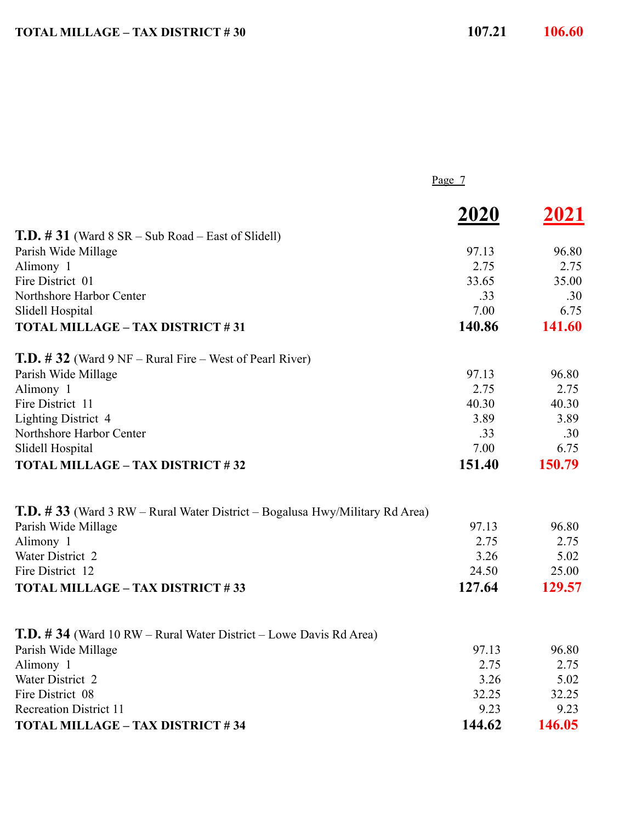|                                                                                     | Page $7$    |        |
|-------------------------------------------------------------------------------------|-------------|--------|
|                                                                                     | <b>2020</b> | 2021   |
| <b>T.D.</b> $\# 31$ (Ward $8 SR - Sub Road - East of Slidell)$ )                    |             |        |
| Parish Wide Millage                                                                 | 97.13       | 96.80  |
| Alimony 1                                                                           | 2.75        | 2.75   |
| Fire District 01                                                                    | 33.65       | 35.00  |
| Northshore Harbor Center                                                            | .33         | .30    |
| Slidell Hospital                                                                    | 7.00        | 6.75   |
| <b>TOTAL MILLAGE - TAX DISTRICT #31</b>                                             | 140.86      | 141.60 |
| <b>T.D.</b> $\#$ 32 (Ward 9 NF – Rural Fire – West of Pearl River)                  |             |        |
| Parish Wide Millage                                                                 | 97.13       | 96.80  |
| Alimony 1                                                                           | 2.75        | 2.75   |
| Fire District 11                                                                    | 40.30       | 40.30  |
| <b>Lighting District 4</b>                                                          | 3.89        | 3.89   |
| Northshore Harbor Center                                                            | .33         | .30    |
| Slidell Hospital                                                                    | 7.00        | 6.75   |
| <b>TOTAL MILLAGE - TAX DISTRICT #32</b>                                             | 151.40      | 150.79 |
| <b>T.D.</b> # 33 (Ward 3 RW – Rural Water District – Bogalusa Hwy/Military Rd Area) |             |        |
| Parish Wide Millage                                                                 | 97.13       | 96.80  |
| Alimony 1                                                                           | 2.75        | 2.75   |
| Water District 2                                                                    | 3.26        | 5.02   |
| Fire District 12                                                                    | 24.50       | 25.00  |
| <b>TOTAL MILLAGE - TAX DISTRICT #33</b>                                             | 127.64      | 129.57 |
| <b>T.D.</b> #34 (Ward 10 RW – Rural Water District – Lowe Davis Rd Area)            |             |        |
| Parish Wide Millage                                                                 | 97.13       | 96.80  |
| Alimony 1                                                                           | 2.75        | 2.75   |
| Water District 2                                                                    | 3.26        | 5.02   |
| Fire District 08                                                                    | 32.25       | 32.25  |
| <b>Recreation District 11</b>                                                       | 9.23        | 9.23   |
| <b>TOTAL MILLAGE - TAX DISTRICT #34</b>                                             | 144.62      | 146.05 |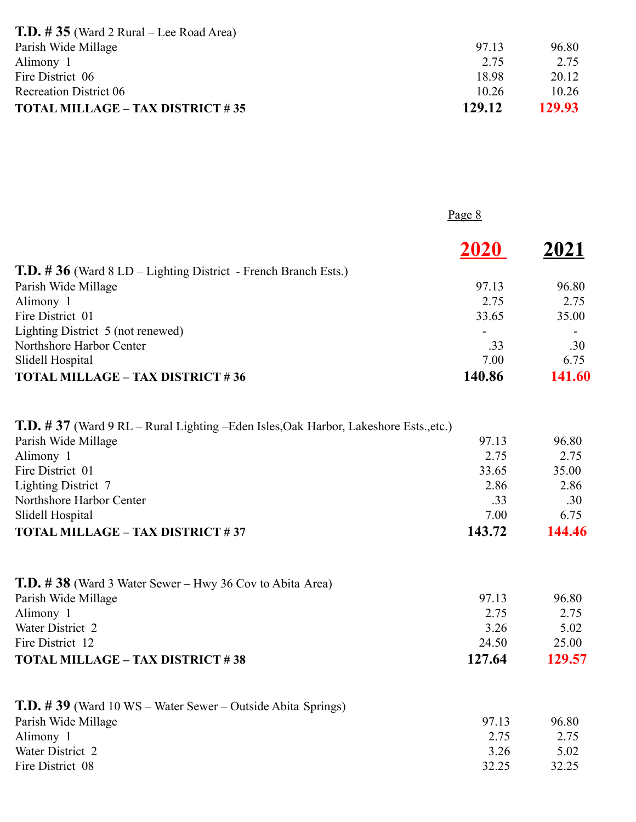| <b>T.D.</b> # 35 (Ward 2 Rural – Lee Road Area) |        |        |
|-------------------------------------------------|--------|--------|
| Parish Wide Millage                             | 97.13  | 96.80  |
| Alimony 1                                       | 2.75   | 2.75   |
| Fire District 06                                | 18.98  | 20.12  |
| <b>Recreation District 06</b>                   | 1026   | 10.26  |
| <b>TOTAL MILLAGE - TAX DISTRICT #35</b>         | 129.12 | 129.93 |

|                                                                       | Page 8 |        |
|-----------------------------------------------------------------------|--------|--------|
|                                                                       | 2020   | 2021   |
| <b>T.D.</b> #36 (Ward 8 LD – Lighting District - French Branch Ests.) |        |        |
| Parish Wide Millage                                                   | 97.13  | 96.80  |
| Alimony 1                                                             | 2.75   | 2.75   |
| Fire District 01                                                      | 33.65  | 35.00  |
| Lighting District 5 (not renewed)                                     |        |        |
| Northshore Harbor Center                                              | .33    | .30    |
| Slidell Hospital                                                      | 7.00   | 6.75   |
| <b>TOTAL MILLAGE - TAX DISTRICT #36</b>                               | 140.86 | 141.60 |

| <b>T.D. #37</b> (Ward 9 RL – Rural Lighting – Eden Isles, Oak Harbor, Lakeshore Ests., etc.) |        |        |
|----------------------------------------------------------------------------------------------|--------|--------|
| Parish Wide Millage                                                                          | 97.13  | 96.80  |
| Alimony 1                                                                                    | 2.75   | 2.75   |
| Fire District 01                                                                             | 33.65  | 35.00  |
| <b>Lighting District 7</b>                                                                   | 2.86   | 2.86   |
| Northshore Harbor Center                                                                     | .33    | .30    |
| Slidell Hospital                                                                             | 7.00   | 6.75   |
| <b>TOTAL MILLAGE - TAX DISTRICT #37</b>                                                      | 143.72 | 144.46 |

| <b>T.D.</b> # 38 (Ward 3 Water Sewer – Hwy 36 Cov to Abita Area) |        |        |
|------------------------------------------------------------------|--------|--------|
| Parish Wide Millage                                              | 97.13  | 96.80  |
| Alimony 1                                                        | 2.75   | 2.75   |
| Water District 2                                                 | 3 26   | 5.02   |
| Fire District 12                                                 | 24.50  | 25.00  |
| <b>TOTAL MILLAGE - TAX DISTRICT #38</b>                          | 127.64 | 129.57 |

| <b>T.D.</b> #39 (Ward 10 WS – Water Sewer – Outside Abita Springs) |       |       |
|--------------------------------------------------------------------|-------|-------|
| Parish Wide Millage                                                | 97 13 | 96.80 |
| Alimony 1                                                          | 2.75  | 2.75  |
| Water District 2                                                   | 3.26  | 5.02  |
| Fire District 08                                                   | 32 25 | 32.25 |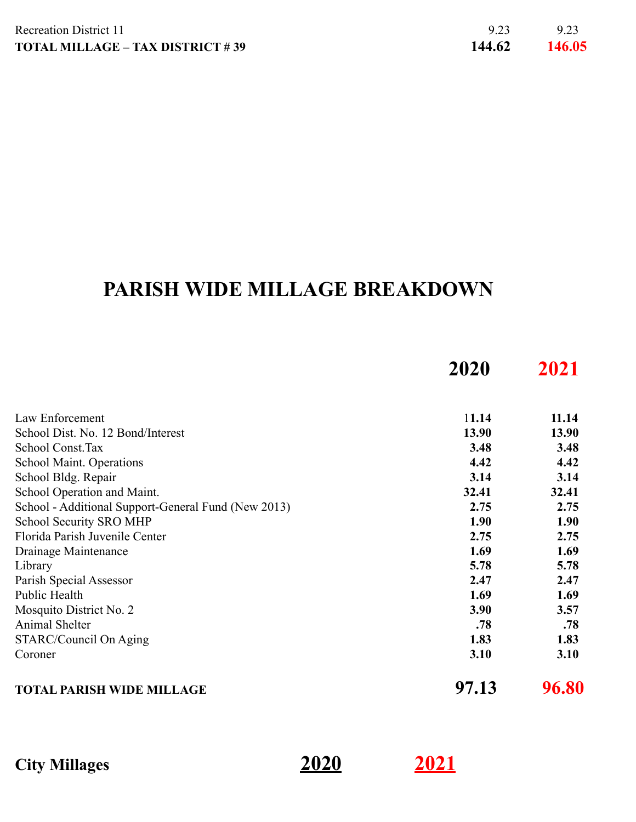## **PARISH WIDE MILLAGE BREAKDOWN**

|                                                     | 2020  | 2021  |
|-----------------------------------------------------|-------|-------|
| Law Enforcement                                     | 11.14 | 11.14 |
| School Dist. No. 12 Bond/Interest                   | 13.90 | 13.90 |
| School Const.Tax                                    | 3.48  | 3.48  |
| School Maint. Operations                            | 4.42  | 4.42  |
| School Bldg. Repair                                 | 3.14  | 3.14  |
| School Operation and Maint.                         | 32.41 | 32.41 |
| School - Additional Support-General Fund (New 2013) | 2.75  | 2.75  |
| School Security SRO MHP                             | 1.90  | 1.90  |
| Florida Parish Juvenile Center                      | 2.75  | 2.75  |
| Drainage Maintenance                                | 1.69  | 1.69  |
| Library                                             | 5.78  | 5.78  |
| Parish Special Assessor                             | 2.47  | 2.47  |
| Public Health                                       | 1.69  | 1.69  |
| Mosquito District No. 2                             | 3.90  | 3.57  |
| Animal Shelter                                      | .78   | .78   |
| STARC/Council On Aging                              | 1.83  | 1.83  |
| Coroner                                             | 3.10  | 3.10  |
| <b>TOTAL PARISH WIDE MILLAGE</b>                    | 97.13 | 96.80 |

**City Millages 2020 2021**